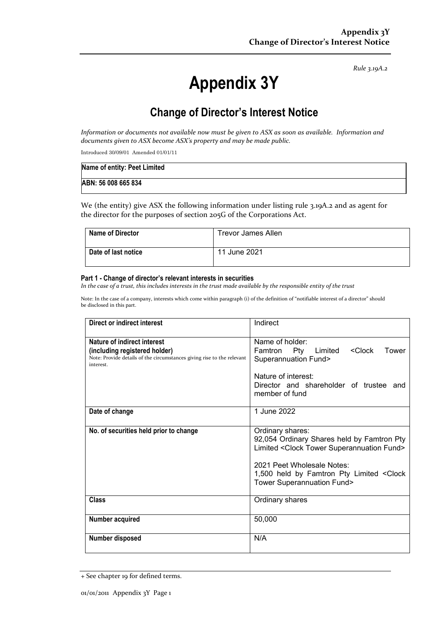*Rule 3.19A.2*

# **Appendix 3Y**

## **Change of Director's Interest Notice**

*Information or documents not available now must be given to ASX as soon as available. Information and documents given to ASX become ASX's property and may be made public.*

Introduced 30/09/01 Amended 01/01/11

| Name of entity: Peet Limited |  |
|------------------------------|--|
| ABN: 56 008 665 834          |  |

We (the entity) give ASX the following information under listing rule 3.19A.2 and as agent for the director for the purposes of section 205G of the Corporations Act.

| <b>Name of Director</b> | <b>Trevor James Allen</b> |
|-------------------------|---------------------------|
| Date of last notice     | 11 June 2021              |

#### **Part 1 - Change of director's relevant interests in securities**

*In the case of a trust, this includes interests in the trust made available by the responsible entity of the trust*

Note: In the case of a company, interests which come within paragraph (i) of the definition of "notifiable interest of a director" should be disclosed in this part.

| <b>Direct or indirect interest</b>                                                                                                                  | Indirect                                                                                                                                                                                                                        |
|-----------------------------------------------------------------------------------------------------------------------------------------------------|---------------------------------------------------------------------------------------------------------------------------------------------------------------------------------------------------------------------------------|
| Nature of indirect interest<br>(including registered holder)<br>Note: Provide details of the circumstances giving rise to the relevant<br>interest. | Name of holder:<br><clock<br>Famtron Pty Limited<br/>Tower<br/>Superannuation Fund&gt;<br/>Nature of interest:<br/>Director and shareholder of trustee and<br/>member of fund</clock<br>                                        |
| Date of change                                                                                                                                      | 1 June 2022                                                                                                                                                                                                                     |
|                                                                                                                                                     |                                                                                                                                                                                                                                 |
| No. of securities held prior to change                                                                                                              | Ordinary shares:<br>92,054 Ordinary Shares held by Famtron Pty<br>Limited < Clock Tower Superannuation Fund><br>2021 Peet Wholesale Notes:<br>1,500 held by Famtron Pty Limited < Clock<br><b>Tower Superannuation Fund&gt;</b> |
| <b>Class</b>                                                                                                                                        | Ordinary shares                                                                                                                                                                                                                 |
| Number acquired                                                                                                                                     | 50,000                                                                                                                                                                                                                          |
| Number disposed                                                                                                                                     | N/A                                                                                                                                                                                                                             |

<sup>+</sup> See chapter 19 for defined terms.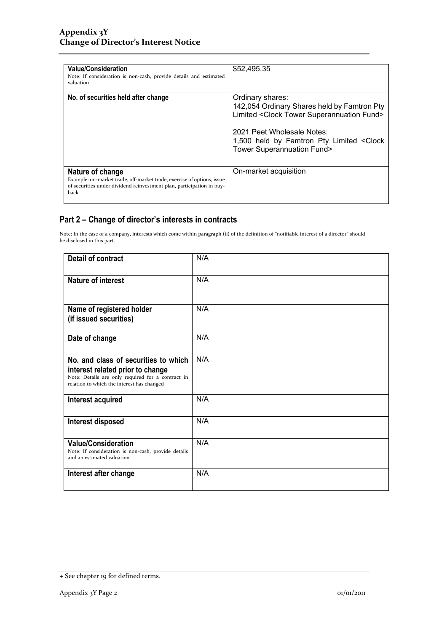| <b>Value/Consideration</b><br>Note: If consideration is non-cash, provide details and estimated<br>valuation                                                                | \$52,495.35                                                                                                                                                                                                                                            |
|-----------------------------------------------------------------------------------------------------------------------------------------------------------------------------|--------------------------------------------------------------------------------------------------------------------------------------------------------------------------------------------------------------------------------------------------------|
| No. of securities held after change                                                                                                                                         | Ordinary shares:<br>142,054 Ordinary Shares held by Famtron Pty<br>Limited <clock fund="" superannuation="" tower=""><br/>2021 Peet Wholesale Notes:<br/>1,500 held by Famtron Pty Limited &lt; Clock<br/><b>Tower Superannuation Fund&gt;</b></clock> |
| Nature of change<br>Example: on-market trade, off-market trade, exercise of options, issue<br>of securities under dividend reinvestment plan, participation in buy-<br>back | On-market acquisition                                                                                                                                                                                                                                  |

### **Part 2 – Change of director's interests in contracts**

Note: In the case of a company, interests which come within paragraph (ii) of the definition of "notifiable interest of a director" should be disclosed in this part.

| <b>Detail of contract</b>                                                                                                                                                   | N/A |
|-----------------------------------------------------------------------------------------------------------------------------------------------------------------------------|-----|
| Nature of interest                                                                                                                                                          | N/A |
| Name of registered holder<br>(if issued securities)                                                                                                                         | N/A |
| Date of change                                                                                                                                                              | N/A |
| No. and class of securities to which<br>interest related prior to change<br>Note: Details are only required for a contract in<br>relation to which the interest has changed | N/A |
| Interest acquired                                                                                                                                                           | N/A |
| Interest disposed                                                                                                                                                           | N/A |
| <b>Value/Consideration</b><br>Note: If consideration is non-cash, provide details<br>and an estimated valuation                                                             | N/A |
| Interest after change                                                                                                                                                       | N/A |

<sup>+</sup> See chapter 19 for defined terms.